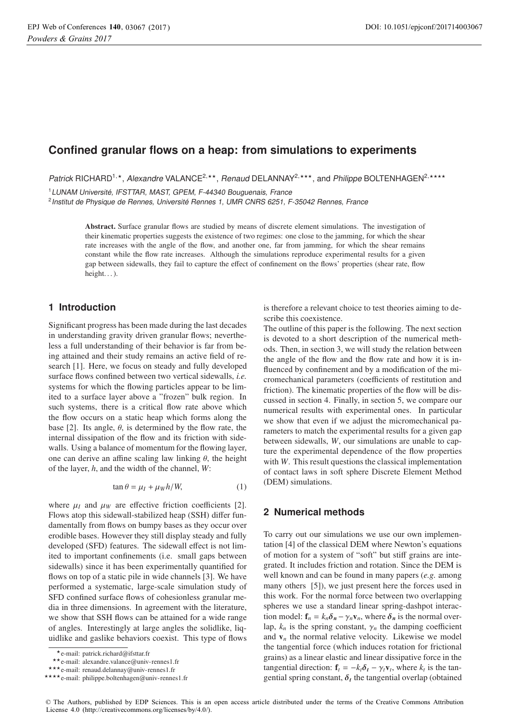# **Confined granular flows on a heap: from simulations to experiments**

Patrick RICHARD<sup>1,\*</sup>, Alexandre VALANCE<sup>2,\*\*</sup>, Renaud DELANNAY<sup>2,\*\*\*</sup>, and Philippe BOLTENHAGEN<sup>2,\*\*\*\*</sup>

<sup>1</sup>LUNAM Université, IFSTTAR, MAST, GPEM, F-44340 Bouguenais, France

<sup>2</sup> Institut de Physique de Rennes, Université Rennes 1, UMR CNRS 6251, F-35042 Rennes, France

**Abstract.** Surface granular flows are studied by means of discrete element simulations. The investigation of their kinematic properties suggests the existence of two regimes: one close to the jamming, for which the shear rate increases with the angle of the flow, and another one, far from jamming, for which the shear remains constant while the flow rate increases. Although the simulations reproduce experimental results for a given gap between sidewalls, they fail to capture the effect of confinement on the flows' properties (shear rate, flow height...).

# **1 Introduction**

Significant progress has been made during the last decades in understanding gravity driven granular flows; nevertheless a full understanding of their behavior is far from being attained and their study remains an active field of research [1]. Here, we focus on steady and fully developed surface flows confined between two vertical sidewalls, *i.e.* systems for which the flowing particles appear to be limited to a surface layer above a "frozen" bulk region. In such systems, there is a critical flow rate above which the flow occurs on a static heap which forms along the base [2]. Its angle,  $\theta$ , is determined by the flow rate, the internal dissipation of the flow and its friction with sidewalls. Using a balance of momentum for the flowing layer, one can derive an affine scaling law linking  $\theta$ , the height of the layer, *h*, and the width of the channel, *W*:

 $\tan \theta = \mu_I + \mu_W h/W$ , (1)

where  $\mu_I$  and  $\mu_W$  are effective friction coefficients [2]. Flows atop this sidewall-stabilized heap (SSH) differ fundamentally from flows on bumpy bases as they occur over erodible bases. However they still display steady and fully developed (SFD) features. The sidewall effect is not limited to important confinements (i.e. small gaps between sidewalls) since it has been experimentally quantified for flows on top of a static pile in wide channels [3]. We have performed a systematic, large-scale simulation study of SFD confined surface flows of cohesionless granular media in three dimensions. In agreement with the literature, we show that SSH flows can be attained for a wide range of angles. Interestingly at large angles the solidlike, liquidlike and gaslike behaviors coexist. This type of flows

is therefore a relevant choice to test theories aiming to describe this coexistence.

The outline of this paper is the following. The next section is devoted to a short description of the numerical methods. Then, in section 3, we will study the relation between the angle of the flow and the flow rate and how it is influenced by confinement and by a modification of the micromechanical parameters (coefficients of restitution and friction). The kinematic properties of the flow will be discussed in section 4. Finally, in section 5, we compare our numerical results with experimental ones. In particular we show that even if we adjust the micromechanical parameters to match the experimental results for a given gap between sidewalls, *W*, our simulations are unable to capture the experimental dependence of the flow properties with *W*. This result questions the classical implementation of contact laws in soft sphere Discrete Element Method (DEM) simulations.

# **2 Numerical methods**

To carry out our simulations we use our own implementation [4] of the classical DEM where Newton's equations of motion for a system of "soft" but stiff grains are integrated. It includes friction and rotation. Since the DEM is well known and can be found in many papers (*e.g.* among many others [5]), we just present here the forces used in this work. For the normal force between two overlapping spheres we use a standard linear spring-dashpot interaction model:  $f_n = k_n \delta_n - \gamma_n v_n$ , where  $\delta_n$  is the normal overlap,  $k_n$  is the spring constant,  $\gamma_n$  the damping coefficient and  $v_n$  the normal relative velocity. Likewise we model the tangential force (which induces rotation for frictional grains) as a linear elastic and linear dissipative force in the tangential direction:  $\mathbf{f}_t = -k_t \delta_t - \gamma_t \mathbf{v}_t$ , where  $k_t$  is the tangential spring constant,  $\delta_t$  the tangential overlap (obtained

<sup>-</sup>e-mail: patrick.richard@ifsttar.fr

<sup>\*\*</sup>e-mail: alexandre.valance@univ-rennes1.fr

<sup>\*\*\*</sup>e-mail: renaud.delannay@univ-rennes1.fr

<sup>\*\*\*\*</sup> e-mail: philippe.boltenhagen@univ-rennes1.fr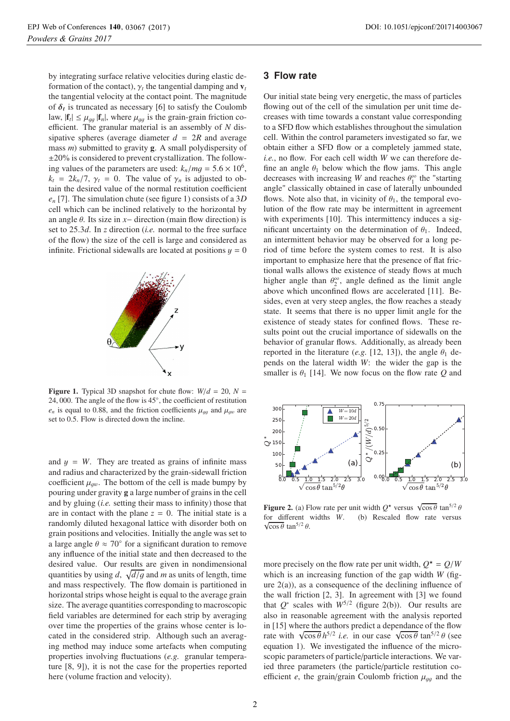by integrating surface relative velocities during elastic deformation of the contact),  $\gamma_t$  the tangential damping and  $\mathbf{v}_t$ the tangential velocity at the contact point. The magnitude of  $\delta_t$  is truncated as necessary [6] to satisfy the Coulomb law,  $|\mathbf{f}_t| \leq \mu_{qq} |\mathbf{f}_n|$ , where  $\mu_{qq}$  is the grain-grain friction coefficient. The granular material is an assembly of *N* dissipative spheres (average diameter  $d = 2R$  and average mass *m*) submitted to gravity **g**. A small polydispersity of ±20% is considered to prevent crystallization. The following values of the parameters are used:  $k_n/mg = 5.6 \times 10^6$ ,  $k_t = 2k_n/7$ ,  $\gamma_t = 0$ . The value of  $\gamma_n$  is adjusted to obtain the desired value of the normal restitution coefficient *en* [7]. The simulation chute (see figure 1) consists of a 3*D* cell which can be inclined relatively to the horizontal by an angle θ. Its size in *<sup>x</sup>*<sup>−</sup> direction (main flow direction) is set to 25.3*d*. In *<sup>z</sup>* direction (*i.e.* normal to the free surface of the flow) the size of the cell is large and considered as infinite. Frictional sidewalls are located at positions  $y = 0$ 



**Figure 1.** Typical 3D snapshot for chute flow:  $W/d = 20$ ,  $N =$ <sup>24</sup>, 000. The angle of the flow is 45◦, the coefficient of restitution  $e_n$  is equal to 0.88, and the friction coefficients  $\mu_{qq}$  and  $\mu_{qw}$  are set to 0.5. Flow is directed down the incline.

and  $y = W$ . They are treated as grains of infinite mass and radius and characterized by the grain-sidewall friction coefficient  $\mu_{aw}$ . The bottom of the cell is made bumpy by pouring under gravity **g** a large number of grains in the cell and by gluing (*i.e.* setting their mass to infinity) those that are in contact with the plane  $z = 0$ . The initial state is a randomly diluted hexagonal lattice with disorder both on grain positions and velocities. Initially the angle was set to a large angle  $\theta \approx 70^{\circ}$  for a significant duration to remove any influence of the initial state and then decreased to the desired value. Our results are given in nondimensional quantities by using  $d$ ,  $\sqrt{d/g}$  and *m* as units of length, time<br>and mass respectively. The flow domain is partitioned in and mass respectively. The flow domain is partitioned in horizontal strips whose height is equal to the average grain size. The average quantities corresponding to macroscopic field variables are determined for each strip by averaging over time the properties of the grains whose center is located in the considered strip. Although such an averaging method may induce some artefacts when computing properties involving fluctuations (*e.g.* granular temperature [8, 9]), it is not the case for the properties reported here (volume fraction and velocity).

#### **3 Flow rate**

Our initial state being very energetic, the mass of particles flowing out of the cell of the simulation per unit time decreases with time towards a constant value corresponding to a SFD flow which establishes throughout the simulation cell. Within the control parameters investigated so far, we obtain either a SFD flow or a completely jammed state, *i.e.*, no flow. For each cell width *W* we can therefore define an angle  $\theta_1$  below which the flow jams. This angle decreases with increasing *W* and reaches  $\theta_1^{\infty}$  the "starting<br>angle" classically obtained in case of laterally unbounded angle" classically obtained in case of laterally unbounded flows. Note also that, in vicinity of  $\theta_1$ , the temporal evolution of the flow rate may be intermittent in agreement with experiments [10]. This intermittency induces a significant uncertainty on the determination of  $\theta_1$ . Indeed, an intermittent behavior may be observed for a long period of time before the system comes to rest. It is also important to emphasize here that the presence of flat frictional walls allows the existence of steady flows at much higher angle than  $\theta_2^{\infty}$ , angle defined as the limit angle<br>above which unconfined flows are accelerated [11]. Beabove which unconfined flows are accelerated [11]. Besides, even at very steep angles, the flow reaches a steady state. It seems that there is no upper limit angle for the existence of steady states for confined flows. These results point out the crucial importance of sidewalls on the behavior of granular flows. Additionally, as already been reported in the literature (*e.g.* [12, 13]), the angle  $\theta_1$  depends on the lateral width *W*: the wider the gap is the smaller is  $\theta_1$  [14]. We now focus on the flow rate *Q* and



**Figure 2.** (a) Flow rate per unit width  $Q^*$  versus  $\sqrt{\cos \theta} \tan^{5/2} \theta$  for different widths  $W$  (b) Rescaled flow rate versus for different widths *W*. (b) Rescaled flow rate versus  $\sqrt{\cos \theta} \tan^{5/2} \theta$ .

more precisely on the flow rate per unit width,  $Q^* = Q/W$ <br>which is an increasing function of the gap width  $W$  (fig. which is an increasing function of the gap width *W* (figure  $2(a)$ ), as a consequence of the declining influence of the wall friction  $[2, 3]$ . In agreement with  $[3]$  we found that  $Q^*$  scales with  $W^{5/2}$  (figure 2(b)). Our results are also in reasonable agreement with the analysis reported in [15] where the authors predict a dependance of the flow rate with  $\sqrt{\cos \theta} h^{5/2}$  *i.e.* in our case  $\sqrt{\cos \theta} \tan^{5/2} \theta$  (see<br>equation 1). We investigated the influence of the microequation 1). We investigated the influence of the microscopic parameters of particle/particle interactions. We varied three parameters (the particle/particle restitution coefficient *e*, the grain/grain Coulomb friction  $\mu_{q\bar{q}}$  and the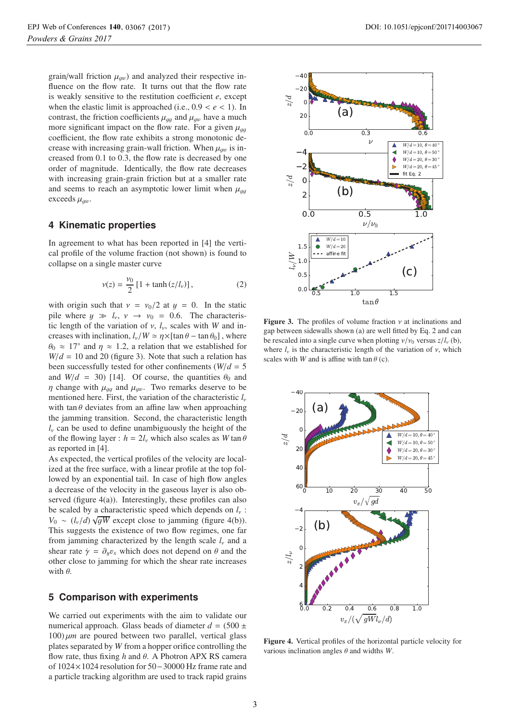grain/wall friction  $\mu_{gw}$ ) and analyzed their respective influence on the flow rate. It turns out that the flow rate is weakly sensitive to the restitution coefficient *e*, except when the elastic limit is approached (i.e.,  $0.9 < e < 1$ ). In contrast, the friction coefficients  $\mu_{qq}$  and  $\mu_{qw}$  have a much more significant impact on the flow rate. For a given  $\mu_{qq}$ coefficient, the flow rate exhibits a strong monotonic decrease with increasing grain-wall friction. When  $\mu_{aw}$  is increased from 0.1 to 0.3, the flow rate is decreased by one order of magnitude. Identically, the flow rate decreases with increasing grain-grain friction but at a smaller rate and seems to reach an asymptotic lower limit when  $\mu_{aa}$ exceeds  $\mu_{aw}$ .

#### **4 Kinematic properties**

In agreement to what has been reported in [4] the vertical profile of the volume fraction (not shown) is found to collapse on a single master curve

$$
v(z) = \frac{v_0}{2} \left[ 1 + \tanh\left(\frac{z}{l_v}\right) \right],\tag{2}
$$

with origin such that  $v = v_0/2$  at  $y = 0$ . In the static pile where  $y \gg l_v$ ,  $v \rightarrow v_0 = 0.6$ . The characteristic length of the variation of  $v$ ,  $l_v$ , scales with *W* and increases with inclination,  $l_v/W \simeq \eta \times [\tan \theta - \tan \theta_0]$ , where  $\theta_0 \approx 17^\circ$  and  $\eta \approx 1.2$ , a relation that we established for  $W/d = 10$  and 20 (figure 3). Note that such a relation has been successfully tested for other confinements ( $W/d = 5$ and  $W/d = 30$  [14]. Of course, the quantities  $\theta_0$  and  $\eta$  change with  $\mu_{gg}$  and  $\mu_{gw}$ . Two remarks deserve to be mentioned here. First, the variation of the characteristic *<sup>l</sup>*ν with tan  $\theta$  deviates from an affine law when approaching the jamming transition. Second, the characteristic length *<sup>l</sup>*ν can be used to define unambiguously the height of the of the flowing layer :  $h = 2l_v$  which also scales as  $W \tan \theta$ as reported in [4].

As expected, the vertical profiles of the velocity are localized at the free surface, with a linear profile at the top followed by an exponential tail. In case of high flow angles a decrease of the velocity in the gaseous layer is also observed (figure  $4(a)$ ). Interestingly, these profiles can also be scaled by a characteristic speed which depends on *<sup>l</sup>*ν :  $V_0 \sim (l_v/d) \sqrt{gW}$  except close to jamming (figure 4(b)).<br>This suggests the existence of two flow regimes, one far This suggests the existence of two flow regimes, one far from jamming characterized by the length scale *<sup>l</sup>*ν and a shear rate  $\dot{\gamma} = \partial_u v_x$  which does not depend on  $\theta$  and the other close to jamming for which the shear rate increases with  $\theta$ .

## **5 Comparison with experiments**

We carried out experiments with the aim to validate our numerical approach. Glass beads of diameter  $d = (500 \pm 1)$ 100) μ*<sup>m</sup>* are poured between two parallel, vertical glass plates separated by *W* from a hopper orifice controlling the flow rate, thus fixing *<sup>h</sup>* and θ. A Photron APX RS camera of 1024×1024 resolution for 50−30000 Hz frame rate and a particle tracking algorithm are used to track rapid grains



**Figure 3.** The profiles of volume fraction  $\nu$  at inclinations and gap between sidewalls shown (a) are well fitted by Eq. 2 and can be rescaled into a single curve when plotting  $v/v_0$  versus  $z/l_v$  (b), where  $l_{\nu}$  is the characteristic length of the variation of  $\nu$ , which scales with *W* and is affine with tan  $\theta$  (c).



**Figure 4.** Vertical profiles of the horizontal particle velocity for various inclination angles θ and widths *<sup>W</sup>*.